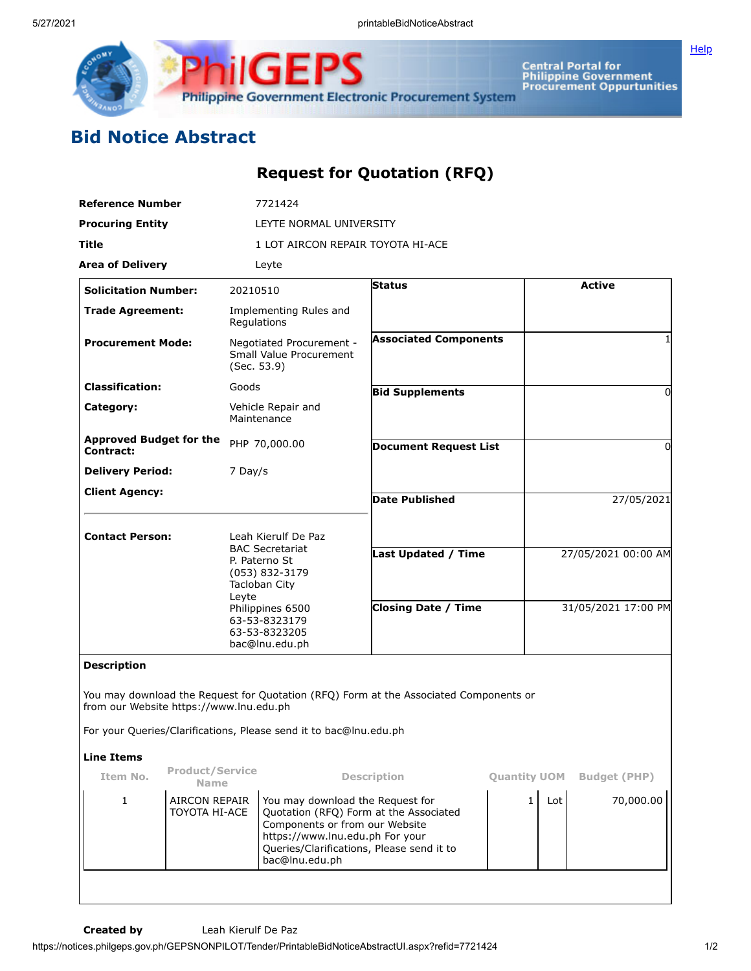

Central Portal for<br>Philippine Government<br>Procurement Oppurtunities **Philippine Government Electronic Procurement System** 

## **Bid Notice Abstract**

iigel

## **Request for Quotation (RFQ)**

Pς

| <b>Procuring Entity</b><br>LEYTE NORMAL UNIVERSITY<br>Title<br>1 LOT AIRCON REPAIR TOYOTA HI-ACE<br><b>Area of Delivery</b><br>Leyte<br>Status<br><b>Solicitation Number:</b><br>20210510<br><b>Trade Agreement:</b><br>Implementing Rules and<br>Regulations<br><b>Associated Components</b><br><b>Procurement Mode:</b><br>Negotiated Procurement -<br>Small Value Procurement<br>(Sec. 53.9)<br><b>Classification:</b><br>Goods<br><b>Bid Supplements</b><br>Category:<br>Vehicle Repair and<br>Maintenance<br><b>Approved Budget for the</b><br>PHP 70,000.00<br><b>Document Request List</b><br>Contract:<br><b>Delivery Period:</b><br>7 Day/s<br><b>Client Agency:</b><br><b>Date Published</b><br><b>Contact Person:</b><br>Leah Kierulf De Paz |                     |
|---------------------------------------------------------------------------------------------------------------------------------------------------------------------------------------------------------------------------------------------------------------------------------------------------------------------------------------------------------------------------------------------------------------------------------------------------------------------------------------------------------------------------------------------------------------------------------------------------------------------------------------------------------------------------------------------------------------------------------------------------------|---------------------|
|                                                                                                                                                                                                                                                                                                                                                                                                                                                                                                                                                                                                                                                                                                                                                         |                     |
|                                                                                                                                                                                                                                                                                                                                                                                                                                                                                                                                                                                                                                                                                                                                                         |                     |
|                                                                                                                                                                                                                                                                                                                                                                                                                                                                                                                                                                                                                                                                                                                                                         |                     |
|                                                                                                                                                                                                                                                                                                                                                                                                                                                                                                                                                                                                                                                                                                                                                         | <b>Active</b>       |
|                                                                                                                                                                                                                                                                                                                                                                                                                                                                                                                                                                                                                                                                                                                                                         |                     |
|                                                                                                                                                                                                                                                                                                                                                                                                                                                                                                                                                                                                                                                                                                                                                         | 1                   |
|                                                                                                                                                                                                                                                                                                                                                                                                                                                                                                                                                                                                                                                                                                                                                         | 0                   |
|                                                                                                                                                                                                                                                                                                                                                                                                                                                                                                                                                                                                                                                                                                                                                         |                     |
|                                                                                                                                                                                                                                                                                                                                                                                                                                                                                                                                                                                                                                                                                                                                                         | 0                   |
|                                                                                                                                                                                                                                                                                                                                                                                                                                                                                                                                                                                                                                                                                                                                                         |                     |
|                                                                                                                                                                                                                                                                                                                                                                                                                                                                                                                                                                                                                                                                                                                                                         | 27/05/2021          |
| <b>BAC Secretariat</b><br><b>Last Updated / Time</b><br>P. Paterno St<br>(053) 832-3179<br>Tacloban City<br>Leyte                                                                                                                                                                                                                                                                                                                                                                                                                                                                                                                                                                                                                                       | 27/05/2021 00:00 AM |
| <b>Closing Date / Time</b><br>Philippines 6500<br>63-53-8323179<br>63-53-8323205<br>bac@lnu.edu.ph                                                                                                                                                                                                                                                                                                                                                                                                                                                                                                                                                                                                                                                      | 31/05/2021 17:00 PM |
| <b>Description</b>                                                                                                                                                                                                                                                                                                                                                                                                                                                                                                                                                                                                                                                                                                                                      |                     |
| You may download the Request for Quotation (RFQ) Form at the Associated Components or<br>from our Website https://www.lnu.edu.ph                                                                                                                                                                                                                                                                                                                                                                                                                                                                                                                                                                                                                        |                     |
| For your Queries/Clarifications, Please send it to bac@lnu.edu.ph                                                                                                                                                                                                                                                                                                                                                                                                                                                                                                                                                                                                                                                                                       |                     |
| <b>Line Items</b>                                                                                                                                                                                                                                                                                                                                                                                                                                                                                                                                                                                                                                                                                                                                       |                     |
| <b>Product/Service</b><br>Item No.<br><b>Description</b><br><b>Quantity UOM</b><br><b>Name</b>                                                                                                                                                                                                                                                                                                                                                                                                                                                                                                                                                                                                                                                          | <b>Budget (PHP)</b> |
| <b>AIRCON REPAIR</b><br>$\mathbf{1}$<br>You may download the Request for<br>$\mathbf{1}$<br>Lot<br>Quotation (RFQ) Form at the Associated<br>TOYOTA HI-ACE<br>Components or from our Website<br>https://www.lnu.edu.ph For your<br>Queries/Clarifications, Please send it to<br>bac@lnu.edu.ph                                                                                                                                                                                                                                                                                                                                                                                                                                                          | 70,000.00           |